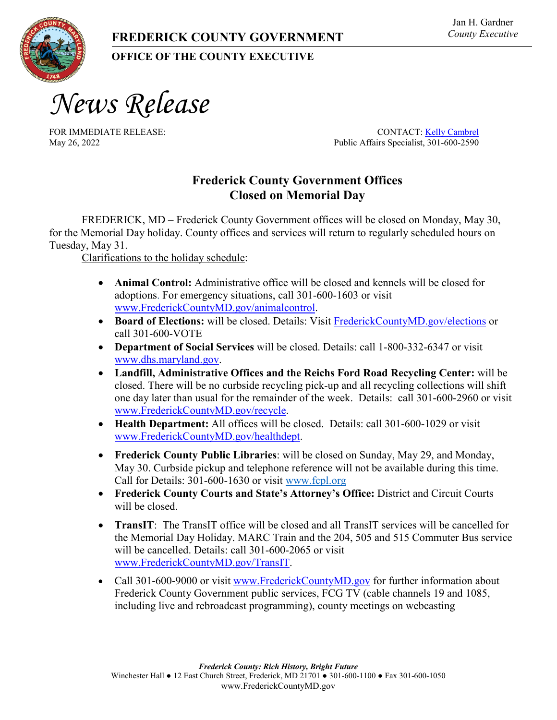## **OFFICE OF THE COUNTY EXECUTIVE**

*News Release*

FOR IMMEDIATE RELEASE: CONTACT[: Kelly Cambrel](mailto:kcambrel@frederickmd.gov) May 26, 2022 Public Affairs Specialist, 301-600-2590

## **Frederick County Government Offices Closed on Memorial Day**

FREDERICK, MD – Frederick County Government offices will be closed on Monday, May 30, for the Memorial Day holiday. County offices and services will return to regularly scheduled hours on Tuesday, May 31.

Clarifications to the holiday schedule:

- **Animal Control:** Administrative office will be closed and kennels will be closed for adoptions. For emergency situations, call 301-600-1603 or visit [www.FrederickCountyMD.gov/animalcontrol.](http://www.frederickcountymd.gov/animalcontrol)
- **Board of Elections:** will be closed. Details: Visit [FrederickCountyMD.gov/elections](file://NT1S5/COUNTYEXECUTIVE/Communications/Press%20Releases/2021%20Releases/FrederickCountyMD.gov/elections) or call 301-600-VOTE
- **Department of Social Services** will be closed. Details: call 1-800-332-6347 or visit [www.dhs.maryland.gov.](http://www.dhs.maryland.gov/)
- **Landfill, Administrative Offices and the Reichs Ford Road Recycling Center:** will be closed. There will be no curbside recycling pick-up and all recycling collections will shift one day later than usual for the remainder of the week. Details: call 301-600-2960 or visit [www.FrederickCountyMD.gov/recycle.](https://urldefense.com/v3/__https:/gcc02.safelinks.protection.outlook.com/?url=https*3A*2F*2Furldefense.com*2Fv3*2F__https*3A*2Fgcc02.safelinks.protection.outlook.com*2F*3Furl*3Dhttp*3A*2F*2Fwww.frederickcountymd.gov*2Frecycle*26data*3D02*7C01*7Crwilson*40cityoffrederickmd.gov*7Cf6010597c60a49466ad908d85028a2cd*7Cc379f8550dee4b099f890cee3aa7f761*7C0*7C0*7C637347482761819825*26sdata*3DDsTDqf*2FZeMnfpvD9GUNbah0t*2FPAExFrxNUgIGq9oFpY*3D*26reserved*3D0__*3BJSUlJSUlJSUlJSUlJSUl!!I2-OFBIJoQBJqqeup9g!VjF1d5EplPuQUfMwOH1Oi-R-QRbTEMK1PHz4GZ6SIdKeFJMxVkzjRJ-V3pGrEU2t7lrGADlqifY*24&data=02*7C01*7Crwilson*40cityoffrederickmd.gov*7C2bf4c715620e47baad6f08d8503989c0*7Cc379f8550dee4b099f890cee3aa7f761*7C0*7C0*7C637347555347266077&sdata=7pXnNv*2B8NcDlEav0dbBMpIyuphHr*2FW*2F5f1nkKfz1k*2Fc*3D&reserved=0__;JSUlJSUlJSUlJSoqKiolJSoqKioqKioqJSUqKiolJSUlJSUlJSUlJSUlJSUlJQ!!I2-OFBIJoQBJqqeup9g!XAtE-IwnlDYcRg53gMhp1O1LceZXq1AGzjDVQJ9Im_thQKF1DZEZU8m-LCtwRGVHT-GolDvdMmo$)
- **Health Department:** All offices will be closed. Details: call 301-600-1029 or visit [www.FrederickCountyMD.gov/healthdept.](https://urldefense.com/v3/__https:/gcc02.safelinks.protection.outlook.com/?url=https*3A*2F*2Furldefense.com*2Fv3*2F__https*3A*2Fgcc02.safelinks.protection.outlook.com*2F*3Furl*3Dhttp*3A*2F*2Fwww.frederickcountymd.gov*2Fhealthdept*26data*3D02*7C01*7Crwilson*40cityoffrederickmd.gov*7Cf6010597c60a49466ad908d85028a2cd*7Cc379f8550dee4b099f890cee3aa7f761*7C0*7C0*7C637347482761809869*26sdata*3DN77v31EInRDUotxtxlP4SO7gScadFVdNxEJYzc51qzA*3D*26reserved*3D0__*3BJSUlJSUlJSUlJSUlJQ!!I2-OFBIJoQBJqqeup9g!VjF1d5EplPuQUfMwOH1Oi-R-QRbTEMK1PHz4GZ6SIdKeFJMxVkzjRJ-V3pGrEU2t7lrGTgtLOt8*24&data=02*7C01*7Crwilson*40cityoffrederickmd.gov*7C2bf4c715620e47baad6f08d8503989c0*7Cc379f8550dee4b099f890cee3aa7f761*7C0*7C0*7C637347555347266077&sdata=7G6USZ1aPisgzdUNitCBbFGJH0A1GE3YStLI6ubLjCE*3D&reserved=0__;JSUlJSUlJSUlJSoqKiolJSoqKioqKioqJSUqJSUlJSUlJSUlJSUlJQ!!I2-OFBIJoQBJqqeup9g!XAtE-IwnlDYcRg53gMhp1O1LceZXq1AGzjDVQJ9Im_thQKF1DZEZU8m-LCtwRGVHT-GoeAmXQns$)
- **Frederick County Public Libraries**: will be closed on Sunday, May 29, and Monday, May 30. Curbside pickup and telephone reference will not be available during this time. Call for Details: 301-600-1630 or visit [www.fcpl.org](https://urldefense.com/v3/__https:/gcc02.safelinks.protection.outlook.com/?url=https*3A*2F*2Furldefense.com*2Fv3*2F__https*3A*2Fgcc02.safelinks.protection.outlook.com*2F*3Furl*3Dhttp*3A*2F*2Fwww.fcpl.org*2F*26data*3D02*7C01*7Crwilson*40cityoffrederickmd.gov*7Cf6010597c60a49466ad908d85028a2cd*7Cc379f8550dee4b099f890cee3aa7f761*7C0*7C0*7C637347482761819825*26sdata*3DCNNVg*2BTPRL5DtEUjfCqdPZ4iAlL*2B4omvdMHtBHlaoSg*3D*26reserved*3D0__*3BJSUlJSUlJSUlJSUlJSUl!!I2-OFBIJoQBJqqeup9g!VjF1d5EplPuQUfMwOH1Oi-R-QRbTEMK1PHz4GZ6SIdKeFJMxVkzjRJ-V3pGrEU2t7lrGkGTPb5M*24&data=02*7C01*7Crwilson*40cityoffrederickmd.gov*7C2bf4c715620e47baad6f08d8503989c0*7Cc379f8550dee4b099f890cee3aa7f761*7C0*7C0*7C637347555347276035&sdata=w*2Be8xuZgiqGJxShyLRkgVgw*2Fz3VLhglVItbDN8KPhRc*3D&reserved=0__;JSUlJSUlJSUlJSoqKiolJSoqKioqKioqJSUqKiolJSUlJSUlJSUlJSUlJSU!!I2-OFBIJoQBJqqeup9g!XAtE-IwnlDYcRg53gMhp1O1LceZXq1AGzjDVQJ9Im_thQKF1DZEZU8m-LCtwRGVHT-Gojsuqzpg$)
- **Frederick County Courts and State's Attorney's Office:** District and Circuit Courts will be closed.
- **TransIT**: The TransIT office will be closed and all TransIT services will be cancelled for the Memorial Day Holiday. MARC Train and the 204, 505 and 515 Commuter Bus service will be cancelled. Details: call 301-600-2065 or visit [www.FrederickCountyMD.gov/TransIT.](https://urldefense.com/v3/__https:/gcc02.safelinks.protection.outlook.com/?url=https*3A*2F*2Furldefense.com*2Fv3*2F__https*3A*2Fgcc02.safelinks.protection.outlook.com*2F*3Furl*3Dhttp*3A*2F*2Fwww.frederickcountymd.gov*2FTransIT*26data*3D02*7C01*7Crwilson*40cityoffrederickmd.gov*7Cf6010597c60a49466ad908d85028a2cd*7Cc379f8550dee4b099f890cee3aa7f761*7C0*7C0*7C637347482761829783*26sdata*3DSttLu2sQ*2B3wC819GNaJ6FnuVYZC1*2FFvuzLcAdcOneps*3D*26reserved*3D0__*3BJSUlJSUlJSUlJSUlJSUl!!I2-OFBIJoQBJqqeup9g!VjF1d5EplPuQUfMwOH1Oi-R-QRbTEMK1PHz4GZ6SIdKeFJMxVkzjRJ-V3pGrEU2t7lrGp319Bu8*24&data=02*7C01*7Crwilson*40cityoffrederickmd.gov*7C2bf4c715620e47baad6f08d8503989c0*7Cc379f8550dee4b099f890cee3aa7f761*7C0*7C0*7C637347555347276035&sdata=XZN6XhQKVXaYt14w1KmtB71luuTHVa08gXmjGOgU7VQ*3D&reserved=0__;JSUlJSUlJSUlJSoqKiolJSoqKioqKioqJSUqKiolJSUlJSUlJSUlJSUl!!I2-OFBIJoQBJqqeup9g!XAtE-IwnlDYcRg53gMhp1O1LceZXq1AGzjDVQJ9Im_thQKF1DZEZU8m-LCtwRGVHT-Go17lqp18$)
- Call 301-600-9000 or visit [www.FrederickCountyMD.gov](https://urldefense.com/v3/__https:/gcc02.safelinks.protection.outlook.com/?url=https*3A*2F*2Furldefense.com*2Fv3*2F__https*3A*2Fgcc02.safelinks.protection.outlook.com*2F*3Furl*3Dhttp*3A*2F*2Fwww.frederickcountymd.gov*2F*26data*3D02*7C01*7Crwilson*40cityoffrederickmd.gov*7Cf6010597c60a49466ad908d85028a2cd*7Cc379f8550dee4b099f890cee3aa7f761*7C0*7C0*7C637347482761829783*26sdata*3DR*2FyBrSUZt7p005ZtoNoRr*2BU0ex6fHkHQkKED7shWIGU*3D*26reserved*3D0__*3BJSUlJSUlJSUlJSUlJSUl!!I2-OFBIJoQBJqqeup9g!VjF1d5EplPuQUfMwOH1Oi-R-QRbTEMK1PHz4GZ6SIdKeFJMxVkzjRJ-V3pGrEU2t7lrG7vzIDqk*24&data=02*7C01*7Crwilson*40cityoffrederickmd.gov*7C2bf4c715620e47baad6f08d8503989c0*7Cc379f8550dee4b099f890cee3aa7f761*7C0*7C0*7C637347555347276035&sdata=L9t*2BBBJvPrb*2BZT9ixsGDReKKiOuAtEPwve8P84RWarU*3D&reserved=0__;JSUlJSUlJSUlJSoqKiolJSoqKioqKioqJSUqKiolJSUlJSUlJSUlJSUlJSU!!I2-OFBIJoQBJqqeup9g!XAtE-IwnlDYcRg53gMhp1O1LceZXq1AGzjDVQJ9Im_thQKF1DZEZU8m-LCtwRGVHT-GoibHrujI$) for further information about Frederick County Government public services, FCG TV (cable channels 19 and 1085, including live and rebroadcast programming), county meetings on webcasting